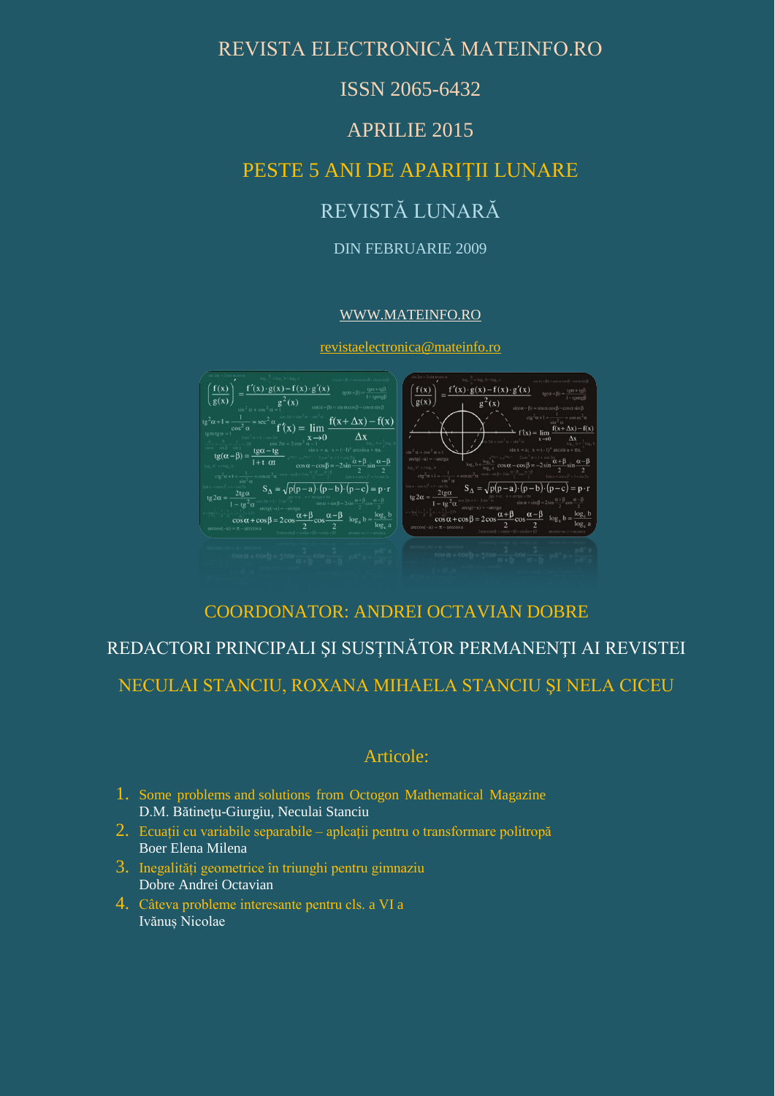## REVISTA ELECTRONICĂ MATEINFO.RO

## ISSN 2065-6432

## APRILIE 2015

## PESTE 5 ANI DE APARIŢII LUNARE

# REVISTĂ LUNARĂ

#### DIN FEBRUARIE 2009

#### [WWW.MATEINFO.RO](http://www.mateinfo.ro/)

[revistaelectronica@mateinfo.ro](mailto:revistaelectronica@mateinfo.ro)



## COORDONATOR: ANDREI OCTAVIAN DOBRE

## REDACTORI PRINCIPALI ŞI SUSŢINĂTOR PERMANENŢI AI REVISTEI

NECULAI STANCIU, ROXANA MIHAELA STANCIU ŞI NELA CICEU

### Articole:

- 1. Some problems and solutions from Octogon Mathematical Magazine D.M. Bătinetu-Giurgiu, Neculai Stanciu
- 2. Ecuații cu variabile separabile aplcații pentru o transformare politropă Boer Elena Milena
- 3. Inegalități geometrice în triunghi pentru gimnaziu Dobre Andrei Octavian
- 4. Câteva probleme interesante pentru cls. a VI a Ivănuș Nicolae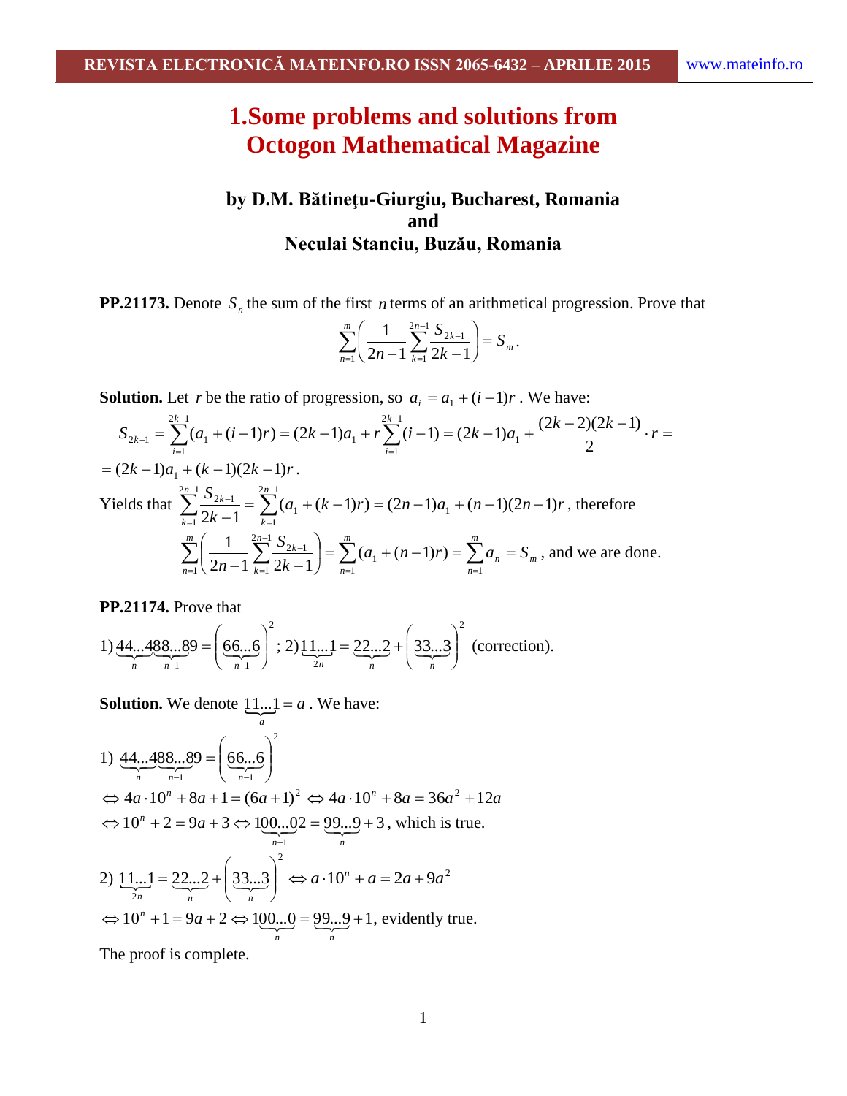# **1.Some problems and solutions from Octogon Mathematical Magazine**

## **by D.M. Bătineţu-Giurgiu, Bucharest, Romania and Neculai Stanciu, Buzău, Romania**

**PP.21173.** Denote  $S<sub>n</sub>$  the sum of the first *n* terms of an arithmetical progression. Prove that

$$
\sum_{n=1}^m \left( \frac{1}{2n-1} \sum_{k=1}^{2n-1} \frac{S_{2k-1}}{2k-1} \right) = S_m \, .
$$

**Solution.** Let *r* be the ratio of progression, so  $a_i = a_1 + (i-1)r$ . We have:

$$
S_{2k-1} = \sum_{i=1}^{2k-1} (a_1 + (i-1)r) = (2k-1)a_1 + r \sum_{i=1}^{2k-1} (i-1) = (2k-1)a_1 + \frac{(2k-2)(2k-1)}{2} \cdot r =
$$
  
=  $(2k-1)a_1 + (k-1)(2k-1)r$ .  
Yields that 
$$
\sum_{k=1}^{2n-1} \frac{S_{2k-1}}{2k-1} = \sum_{k=1}^{2n-1} (a_1 + (k-1)r) = (2n-1)a_1 + (n-1)(2n-1)r
$$
, therefore  

$$
\sum_{n=1}^{m} \left(\frac{1}{2n-1} \sum_{k=1}^{2n-1} \frac{S_{2k-1}}{2k-1}\right) = \sum_{n=1}^{m} (a_1 + (n-1)r) = \sum_{n=1}^{m} a_n = S_m
$$
, and we are done.

**PP.21174.** Prove that

1) 44...488...89 = 
$$
\left( \underbrace{66...6}_{n-1} \right)^2
$$
; 2) 11...1 = 22...2 +  $\left( \underbrace{33...3}_{n} \right)^2$  (correction).

**Solution.** We denote  $\underline{11...1} = a$  $11...1 = a$ . We have:

1) 
$$
\frac{44...488...89}{n} = \left(\frac{66...6}{n-1}\right)^2
$$
  
\n
$$
\Leftrightarrow 4a \cdot 10^n + 8a + 1 = (6a + 1)^2 \Leftrightarrow 4a \cdot 10^n + 8a = 36a^2 + 12a
$$
  
\n
$$
\Leftrightarrow 10^n + 2 = 9a + 3 \Leftrightarrow 100...02 = 99...9 + 3, \text{ which is true.}
$$
  
\n2) 
$$
\underbrace{11...1}_{2n} = 22...2 + \left(33...3 \atop n\right)^2 \Leftrightarrow a \cdot 10^n + a = 2a + 9a^2
$$
  
\n
$$
\Leftrightarrow 10^n + 1 = 9a + 2 \Leftrightarrow 100...0 = 99...9 + 1, \text{ evidently true.}
$$

The proof is complete.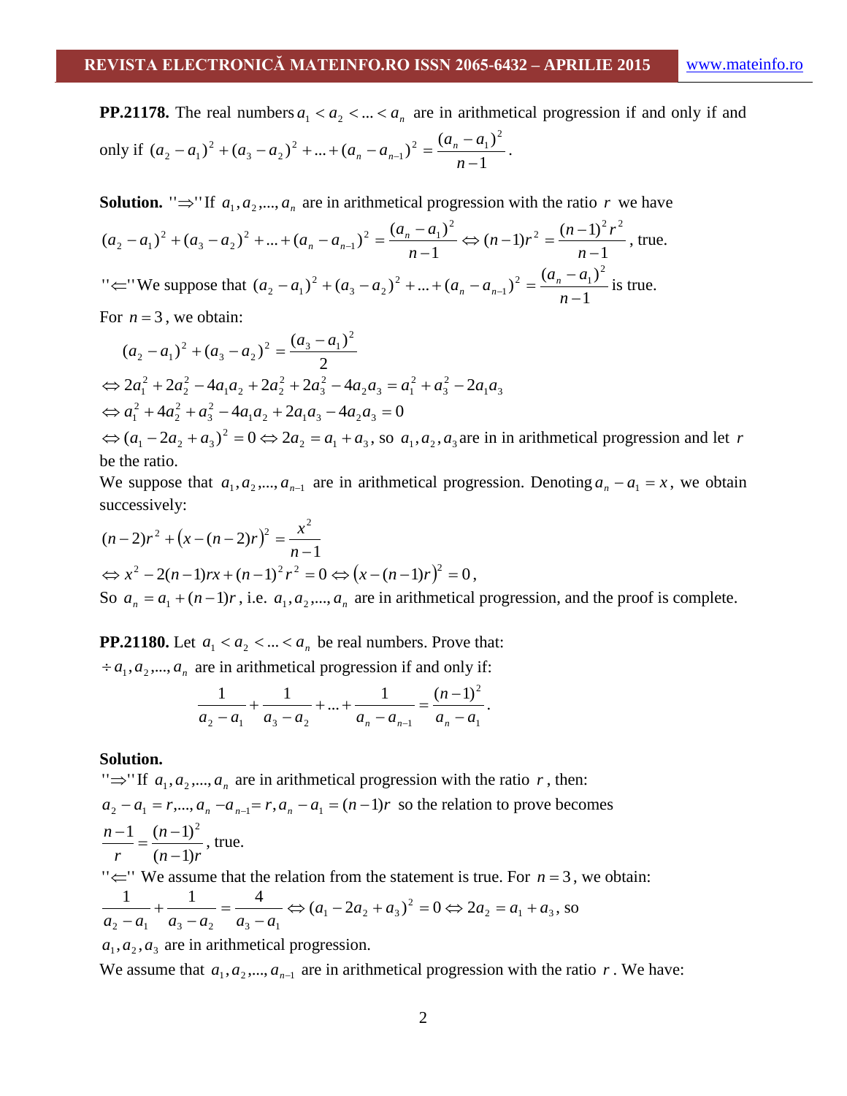**PP.21178.** The real numbers  $a_1 < a_2 < ... < a_n$  are in arithmetical progression if and only if and only if 1  $(a_2 - a_1)^2 + (a_3 - a_2)^2 + ... + (a_n - a_{n-1})^2 = \frac{(a_n - a_1)^2}{n}$  $(a_n - a_1)^2$ 2  $3 - u_2$ 2  $2 - u_1$  +  $(u_3 - u_2)$  + ... +  $(u_n - u_{n-1})$  -  $\frac{1}{n}$  $(-a_1)^2 + (a_3 - a_2)^2 + ... + (a_n - a_{n-1})^2 = \frac{(a_n - a_1)^2}{n-1}$  $(a_2 - a_1)^2 + (a_3 - a_2)^2 + ... + (a_n - a_{n-1})^2 = \frac{(a_n - a_1)^2}{n}$ 

**Solution.** " $\Rightarrow$ " If  $a_1, a_2, ..., a_n$  are in arithmetical progression with the ratio r we have

$$
(a_2 - a_1)^2 + (a_3 - a_2)^2 + \dots + (a_n - a_{n-1})^2 = \frac{(a_n - a_1)^2}{n-1} \Leftrightarrow (n-1)r^2 = \frac{(n-1)^2r^2}{n-1}, \text{ true.}
$$
  
" $\Leftrightarrow$ " We suppose that  $(a_2 - a_1)^2 + (a_3 - a_2)^2 + \dots + (a_n - a_{n-1})^2 = \frac{(a_n - a_1)^2}{n-1}$  is true.

For  $n = 3$ , we obtain:

be the ratio.

$$
(a_2 - a_1)^2 + (a_3 - a_2)^2 = \frac{(a_3 - a_1)^2}{2}
$$
  
\n
$$
\Leftrightarrow 2a_1^2 + 2a_2^2 - 4a_1a_2 + 2a_2^2 + 2a_3^2 - 4a_2a_3 = a_1^2 + a_3^2 - 2a_1a_3
$$
  
\n
$$
\Leftrightarrow a_1^2 + 4a_2^2 + a_3^2 - 4a_1a_2 + 2a_1a_3 - 4a_2a_3 = 0
$$
  
\n
$$
\Leftrightarrow (a_1 - 2a_2 + a_3)^2 = 0 \Leftrightarrow 2a_2 = a_1 + a_3
$$
, so  $a_1, a_2, a_3$  are in in arithmetical progression and let  $r$ 

We suppose that  $a_1, a_2, ..., a_{n-1}$  are in arithmetical progression. Denoting  $a_n - a_1 = x$ , we obtain successively:

$$
(n-2)r^2 + (x - (n-2)r)^2 = \frac{x^2}{n-1}
$$
  
\n
$$
\Leftrightarrow x^2 - 2(n-1)rx + (n-1)^2r^2 = 0 \Leftrightarrow (x - (n-1)r)^2 = 0,
$$
  
\nSo  $a_n = a_1 + (n-1)r$ , i.e.  $a_1, a_2, ..., a_n$  are in arithmetical progression, and the proof is complete.

**PP.21180.** Let  $a_1 < a_2 < ... < a_n$  be real numbers. Prove that:

 $\div a_1, a_2, \dots, a_n$  are in arithmetical progression if and only if:

$$
\frac{1}{a_2 - a_1} + \frac{1}{a_3 - a_2} + \dots + \frac{1}{a_n - a_{n-1}} = \frac{(n-1)^2}{a_n - a_1}.
$$

#### **Solution.**

" $\Rightarrow$ " If  $a_1, a_2, ..., a_n$  are in arithmetical progression with the ratio r, then:  $a_2 - a_1 = r, ..., a_n - a_{n-1} = r, a_n - a_1 = (n-1)r$  so the relation to prove becomes  $n-1)r$ *n r n*  $(n-1)$ 1  $(n-1)^2$  $\overline{a}$  $\frac{-1}{n} = \frac{(n-1)^2}{(n-1)^2}$ , true. " $\leftarrow$ " We assume that the relation from the statement is true. For  $n = 3$ , we obtain:  $2 - u_1 - u_3$ 2  $1 - 2u_2 + u_3$  $2 - u_1$   $u_3 - u_2$   $u_3 - u_1$  $\frac{1}{a}$  +  $\frac{1}{a}$  =  $\frac{4}{a}$   $\Leftrightarrow$   $(a_1 - 2a_2 + a_3)^2 = 0 \Leftrightarrow 2a_2 = a_1 + a_2$  $a_2 - a_1$   $a_3 - a_2$   $a_3 - a_3$  $\Leftrightarrow (a_1 - 2a_2 + a_3)^2 = 0 \Leftrightarrow 2a_2 = a_1 +$  $\overline{a}$  $=$  $\overline{a}$  $\ddot{}$  $\overline{a}$ , so  $a_1, a_2, a_3$  are in arithmetical progression.

We assume that  $a_1, a_2, ..., a_{n-1}$  are in arithmetical progression with the ratio r. We have: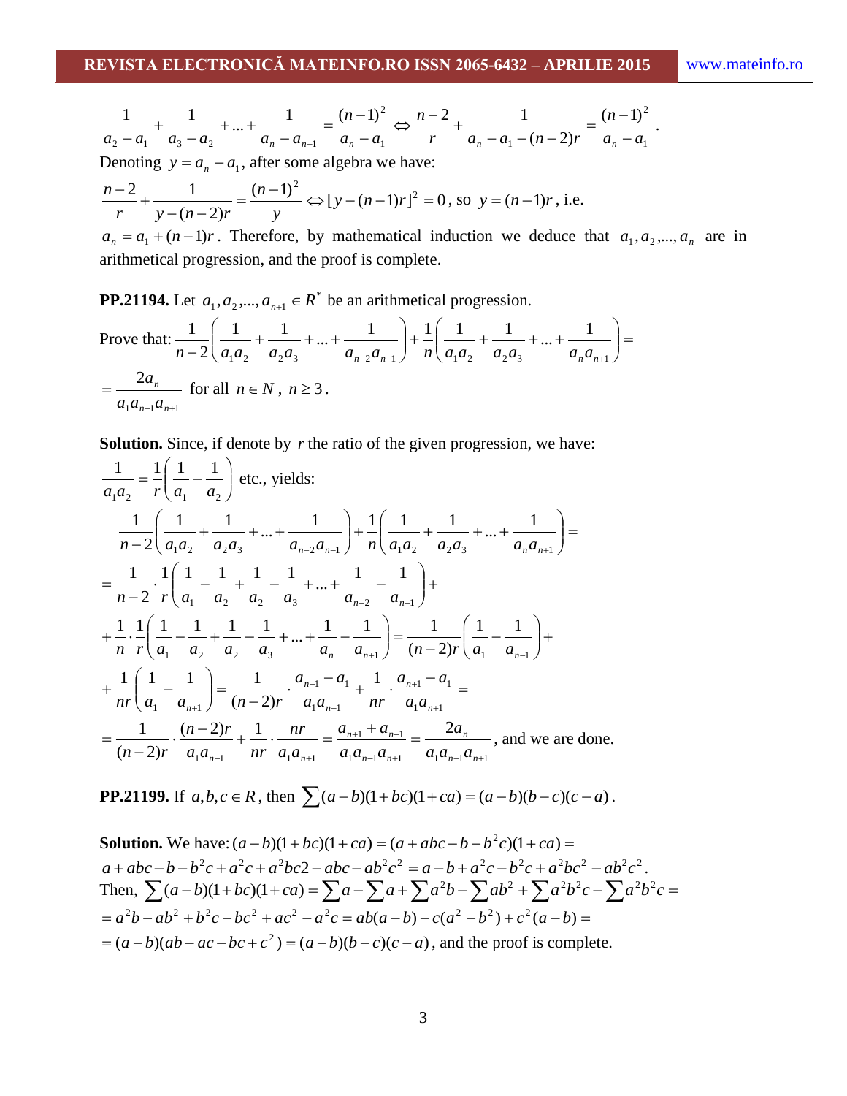$$
\frac{1}{a_2-a_1}+\frac{1}{a_3-a_2}+\ldots+\frac{1}{a_n-a_{n-1}}=\frac{(n-1)^2}{a_n-a_1} \Leftrightarrow \frac{n-2}{r}+\frac{1}{a_n-a_1-(n-2)r}=\frac{(n-1)^2}{a_n-a_1}.
$$

Denoting  $y = a_n - a_1$ , after some algebra we have:

$$
\frac{n-2}{r} + \frac{1}{y - (n-2)r} = \frac{(n-1)^2}{y} \Leftrightarrow [y - (n-1)r]^2 = 0
$$
, so  $y = (n-1)r$ , i.e.

 $a_n = a_1 + (n-1)r$ . Therefore, by mathematical induction we deduce that  $a_1, a_2, ..., a_n$  are in arithmetical progression, and the proof is complete.

**PP.21194.** Let  $a_1, a_2, ..., a_{n+1} \in R^*$  be an arithmetical progression.

Prove that: 
$$
\frac{1}{n-2} \left( \frac{1}{a_1 a_2} + \frac{1}{a_2 a_3} + \dots + \frac{1}{a_{n-2} a_{n-1}} \right) + \frac{1}{n} \left( \frac{1}{a_1 a_2} + \frac{1}{a_2 a_3} + \dots + \frac{1}{a_n a_{n+1}} \right) =
$$

$$
= \frac{2a_n}{a_1 a_{n-1} a_{n+1}}
$$
 for all  $n \in \mathbb{N}$ ,  $n \ge 3$ .

**Solution.** Since, if denote by r the ratio of the given progression, we have:

$$
\frac{1}{a_1 a_2} = \frac{1}{r} \left( \frac{1}{a_1} - \frac{1}{a_2} \right) \text{ etc., yields:}
$$
\n
$$
\frac{1}{n-2} \left( \frac{1}{a_1 a_2} + \frac{1}{a_2 a_3} + \dots + \frac{1}{a_{n-2} a_{n-1}} \right) + \frac{1}{n} \left( \frac{1}{a_1 a_2} + \frac{1}{a_2 a_3} + \dots + \frac{1}{a_n a_{n+1}} \right) =
$$
\n
$$
= \frac{1}{n-2} \cdot \frac{1}{r} \left( \frac{1}{a_1} - \frac{1}{a_2} + \frac{1}{a_2} - \frac{1}{a_3} + \dots + \frac{1}{a_{n-2}} - \frac{1}{a_{n-1}} \right) +
$$
\n
$$
+ \frac{1}{n} \cdot \frac{1}{r} \left( \frac{1}{a_1} - \frac{1}{a_2} + \frac{1}{a_2} - \frac{1}{a_3} + \dots + \frac{1}{a_n} - \frac{1}{a_{n+1}} \right) = \frac{1}{(n-2)r} \left( \frac{1}{a_1} - \frac{1}{a_{n-1}} \right) +
$$
\n
$$
+ \frac{1}{nr} \left( \frac{1}{a_1} - \frac{1}{a_{n+1}} \right) = \frac{1}{(n-2)r} \cdot \frac{a_{n-1} - a_1}{a_1 a_{n-1}} + \frac{1}{nr} \cdot \frac{a_{n+1} - a_1}{a_1 a_{n+1}} =
$$
\n
$$
= \frac{1}{(n-2)r} \cdot \frac{(n-2)r}{a_1 a_{n-1}} + \frac{1}{nr} \cdot \frac{nr}{a_1 a_{n+1}} = \frac{a_{n+1} + a_{n-1}}{a_1 a_{n-1} a_{n+1}} = \frac{2a_n}{a_1 a_{n-1} a_{n+1}},
$$
 and we are done.

**PP.21199.** If  $a, b, c \in R$ , then  $\sum (a - b)(1 + bc)(1 + ca) = (a - b)(b - c)(c - a)$ .

**Solution.** We have: 
$$
(a - b)(1 + bc)(1 + ca) = (a + abc - b - b^2c)(1 + ca) = a + abc - b - b^2c + a^2c + a^2bc^2 - abc - ab^2c^2 = a - b + a^2c - b^2c + a^2bc^2 - ab^2c^2
$$
.  
Then,  $\sum (a - b)(1 + bc)(1 + ca) = \sum a - \sum a + \sum a^2b - \sum ab^2 + \sum a^2b^2c - \sum a^2b^2c = a^2b - ab^2 + b^2c - bc^2 + ac^2 - a^2c = ab(a - b) - c(a^2 - b^2) + c^2(a - b) = (a - b)(ab - ac - bc + c^2) = (a - b)(b - c)(c - a)$ , and the proof is complete.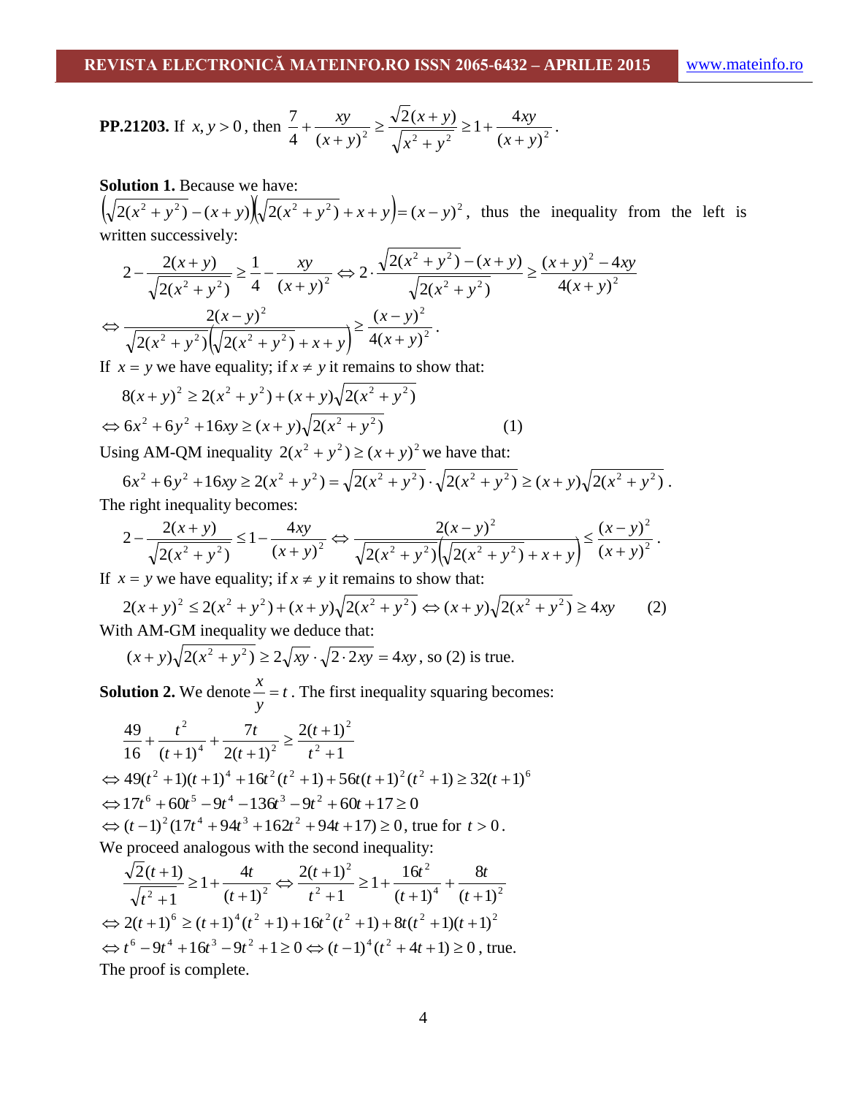**PP.21203.** If 
$$
x, y > 0
$$
, then 
$$
\frac{7}{4} + \frac{xy}{(x+y)^2} \ge \frac{\sqrt{2}(x+y)}{\sqrt{x^2 + y^2}} \ge 1 + \frac{4xy}{(x+y)^2}.
$$

### **Solution 1.** Because we have:

 $\left(\sqrt{2(x^2 + y^2)} - (x + y)\right)\sqrt{2(x^2 + y^2)} + x + y = (x - y)^2$ , thus the inequality from the left is written successively:

$$
2 - \frac{2(x+y)}{\sqrt{2(x^2 + y^2)}} \ge \frac{1}{4} - \frac{xy}{(x+y)^2} \Leftrightarrow 2 \cdot \frac{\sqrt{2(x^2 + y^2) - (x+y)} }{\sqrt{2(x^2 + y^2)}} \ge \frac{(x+y)^2 - 4xy}{4(x+y)^2}
$$

$$
\Leftrightarrow \frac{2(x-y)^2}{\sqrt{2(x^2 + y^2)} (\sqrt{2(x^2 + y^2)} + x+y)} \ge \frac{(x-y)^2}{4(x+y)^2}.
$$

If  $x = y$  we have equality; if  $x \neq y$  it remains to show that:

$$
8(x + y)^2 \ge 2(x^2 + y^2) + (x + y)\sqrt{2(x^2 + y^2)}
$$
  
\n
$$
\Leftrightarrow 6x^2 + 6y^2 + 16xy \ge (x + y)\sqrt{2(x^2 + y^2)}
$$
 (1)

Using AM-QM inequality  $2(x^2 + y^2) \ge (x + y)^2$  we have that:

$$
6x^{2} + 6y^{2} + 16xy \ge 2(x^{2} + y^{2}) = \sqrt{2(x^{2} + y^{2})} \cdot \sqrt{2(x^{2} + y^{2})} \ge (x + y)\sqrt{2(x^{2} + y^{2})}.
$$
  
The right inequality becomes:

The right inequality becomes:

$$
2 - \frac{2(x+y)}{\sqrt{2(x^2 + y^2)}} \le 1 - \frac{4xy}{(x+y)^2} \Leftrightarrow \frac{2(x-y)^2}{\sqrt{2(x^2 + y^2)} (\sqrt{2(x^2 + y^2)} + x + y)} \le \frac{(x-y)^2}{(x+y)^2}.
$$

If  $x = y$  we have equality; if  $x \neq y$  it remains to show that:

$$
2(x+y)^2 \le 2(x^2+y^2) + (x+y)\sqrt{2(x^2+y^2)} \Leftrightarrow (x+y)\sqrt{2(x^2+y^2)} \ge 4xy
$$
 (2)  
With AM-GM inequality we deduce that:

$$
(x+y)\sqrt{2(x^2+y^2)} \ge 2\sqrt{xy} \cdot \sqrt{2 \cdot 2xy} = 4xy
$$
, so (2) is true.

**Solution 2.** We denote  $\frac{x}{t} = t$ *y*  $x = t$ . The first inequality squaring becomes:

$$
\frac{49}{16} + \frac{t^2}{(t+1)^4} + \frac{7t}{2(t+1)^2} \ge \frac{2(t+1)^2}{t^2+1}
$$
  
\n
$$
\Leftrightarrow 49(t^2+1)(t+1)^4 + 16t^2(t^2+1) + 56t(t+1)^2(t^2+1) \ge 32(t+1)^6
$$
  
\n
$$
\Leftrightarrow 17t^6 + 60t^5 - 9t^4 - 136t^3 - 9t^2 + 60t + 17 \ge 0
$$
  
\n
$$
\Leftrightarrow (t-1)^2(17t^4 + 94t^3 + 162t^2 + 94t + 17) \ge 0
$$
, true for  $t > 0$ .  
\nWe proceed analogous with the second inequality:

$$
\frac{\sqrt{2}(t+1)}{\sqrt{t^2+1}} \ge 1 + \frac{4t}{(t+1)^2} \Leftrightarrow \frac{2(t+1)^2}{t^2+1} \ge 1 + \frac{16t^2}{(t+1)^4} + \frac{8t}{(t+1)^2}
$$
  

$$
\Leftrightarrow 2(t+1)^6 \ge (t+1)^4(t^2+1) + 16t^2(t^2+1) + 8t(t^2+1)(t+1)^2
$$
  

$$
\Leftrightarrow t^6 - 9t^4 + 16t^3 - 9t^2 + 1 \ge 0 \Leftrightarrow (t-1)^4(t^2+4t+1) \ge 0
$$
, true.  
The proof is complete.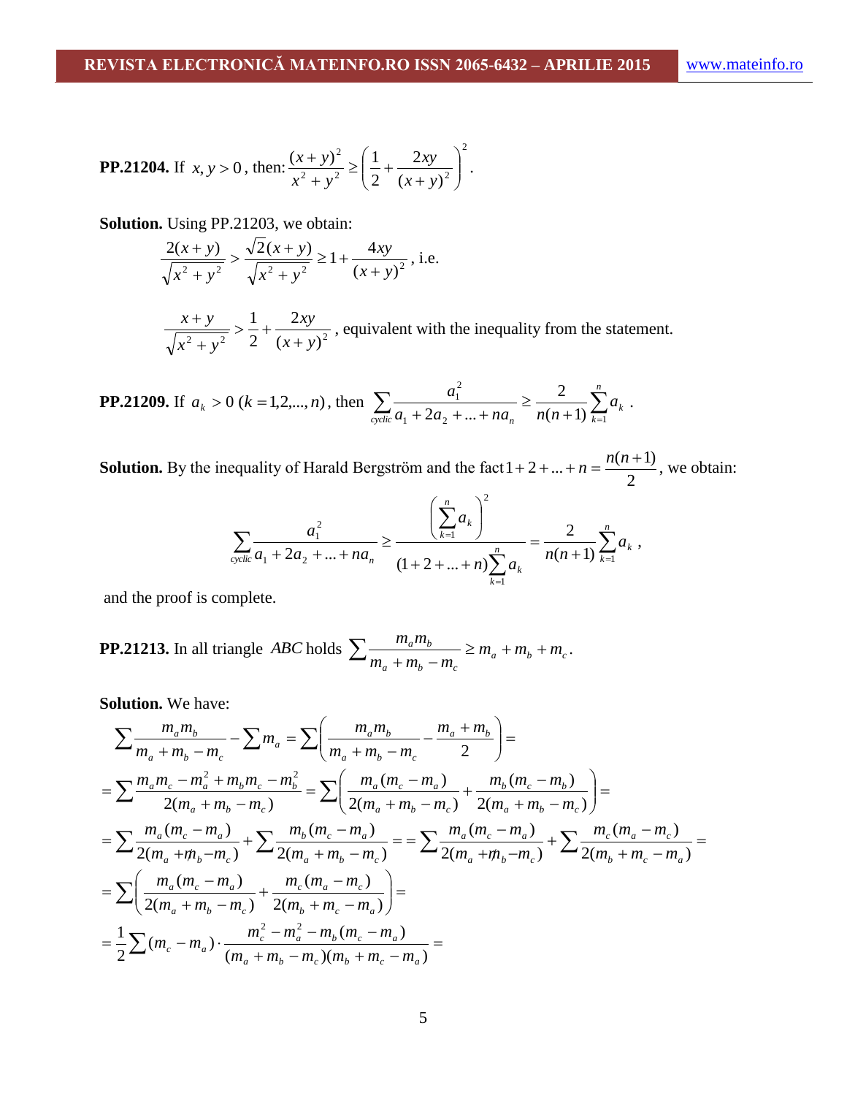**PP.21204.** If 
$$
x, y > 0
$$
, then: 
$$
\frac{(x+y)^2}{x^2 + y^2} \ge \left(\frac{1}{2} + \frac{2xy}{(x+y)^2}\right)^2.
$$

**Solution.** Using PP.21203, we obtain:

$$
\frac{2(x+y)}{\sqrt{x^2+y^2}} > \frac{\sqrt{2(x+y)}}{\sqrt{x^2+y^2}} \ge 1 + \frac{4xy}{(x+y)^2}, \text{ i.e.}
$$

 $\sqrt{2^2 + y^2}$  2  $(x + y)^2$ 2 2 1 *x y xy*  $x^2 + y$ *x y*  $\ddot{}$  $> -1$  $\overline{+}$  $\frac{+y}{-} > \frac{1}{2} + \frac{2xy}{-}$ , equivalent with the inequality from the statement.

**PP.21209.** If 
$$
a_k > 0
$$
 ( $k = 1, 2, ..., n$ ), then 
$$
\sum_{\text{cyclic}} \frac{a_1^2}{a_1 + 2a_2 + ... + na_n} \ge \frac{2}{n(n+1)} \sum_{k=1}^n a_k.
$$

**Solution.** By the inequality of Harald Bergström and the fact 2  $1 + 2 + ... + n = \frac{n(n+1)}{n}$ , we obtain:

$$
\sum_{\text{cyclic}} \frac{a_1^2}{a_1 + 2a_2 + \dots + na_n} \ge \frac{\left(\sum_{k=1}^n a_k\right)^2}{(1 + 2 + \dots + n)\sum_{k=1}^n a_k} = \frac{2}{n(n+1)} \sum_{k=1}^n a_k,
$$

and the proof is complete.

**PP.21213.** In all triangle *ABC* holds 
$$
\sum \frac{m_a m_b}{m_a + m_b - m_c} \ge m_a + m_b + m_c.
$$

**Solution.** We have:

$$
\sum \frac{m_a m_b}{m_a + m_b - m_c} - \sum m_a = \sum \left( \frac{m_a m_b}{m_a + m_b - m_c} - \frac{m_a + m_b}{2} \right) =
$$
\n
$$
= \sum \frac{m_a m_c - m_a^2 + m_b m_c - m_b^2}{2(m_a + m_b - m_c)} = \sum \left( \frac{m_a (m_c - m_a)}{2(m_a + m_b - m_c)} + \frac{m_b (m_c - m_b)}{2(m_a + m_b - m_c)} \right) =
$$
\n
$$
= \sum \frac{m_a (m_c - m_a)}{2(m_a + m_b - m_c)} + \sum \frac{m_b (m_c - m_a)}{2(m_a + m_b - m_c)} = = \sum \frac{m_a (m_c - m_a)}{2(m_a + m_b - m_c)} + \sum \frac{m_c (m_a - m_c)}{2(m_b + m_c - m_a)} =
$$
\n
$$
= \sum \left( \frac{m_a (m_c - m_a)}{2(m_a + m_b - m_c)} + \frac{m_c (m_a - m_c)}{2(m_b + m_c - m_a)} \right) =
$$
\n
$$
= \frac{1}{2} \sum (m_c - m_a) \cdot \frac{m_c^2 - m_a^2 - m_b (m_c - m_a)}{(m_a + m_b - m_c)(m_b + m_c - m_a)} =
$$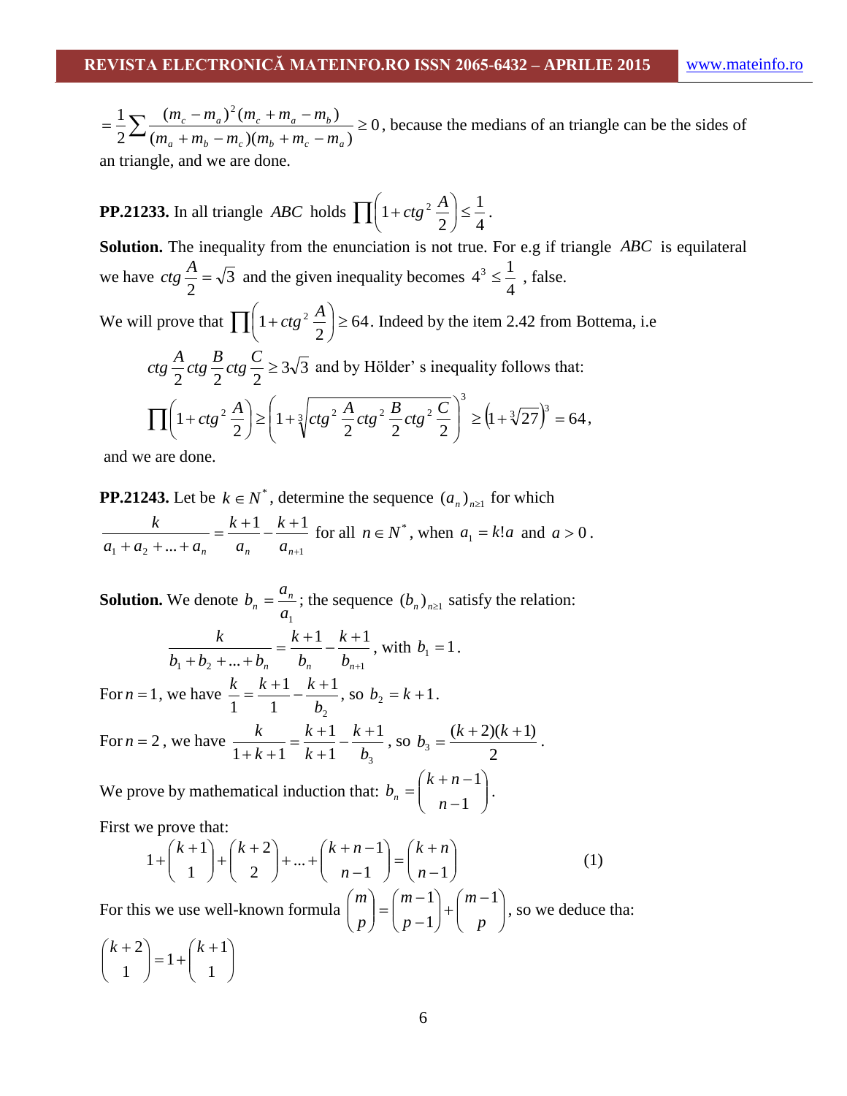0  $(m_a + m_b - m_c)(m_b + m_c - m_a)$  $(m_c - m_a)^2 (m_c + m_a - m_b)$ 2  $1\sum (m_c - m_a)^2$  $\geq$  $+m_h - m_c(m_h + m_c =\frac{1}{2}\sum \frac{(m_c - m_a)^2 (m_c + m_a - m_b)}{(m_a + m_b - m_c)(m_b + m_c - m_a)}$  $c$   $m_a$   $m_c$   $m_e$   $m_b$  $m_a + m_b - m_c$ ) $(m_b + m_c - m_c)$  $(m_c - m_a)^2 (m_c + m_a - m_a)$ , because the medians of an triangle can be the sides of an triangle, and we are done.

**PP.21233.** In all triangle *ABC* holds  $\prod_{n=1}^{\infty} \left(1 + ctg^2 \frac{A}{2}\right) \le$  $\left(1+ctg^2\frac{A}{2}\right)$  $\setminus$  $\Big(1+\Big)$ 4 1 2  $\left[1 + ctg^2 \frac{A}{2}\right] \leq \frac{1}{4}.$ Solution. The inequality from the enunciation is not true. For e.g if triangle *ABC* is equilateral we have  $ctg \frac{1}{2} = \sqrt{3}$ 2  $ctg \frac{A}{a} = \sqrt{3}$  and the given inequality becomes 4  $4^3 \leq \frac{1}{4}$ , false. We will prove that  $\prod_{n=1}^{\infty} \left(1 + ctg^2 \frac{A}{2}\right) \ge$  $\left(1+ctg^2\frac{A}{2}\right)$  $\setminus$  $\left(1+ctg^2\frac{A}{2}\right) \geq 64$ 2  $\left(1 + ctg^2 \frac{A}{2}\right) \ge 64$ . Indeed by the item 2.42 from Bottema, i.e.  $ctg \frac{1}{2}ctg \frac{1}{2}ctg \frac{1}{2} \ge 3\sqrt{3}$  $2 \frac{10}{2}$   $2 \frac{10}{2}$  $ctg \frac{A}{2} ctg \frac{B}{2} ctg \frac{C}{2} \ge 3\sqrt{3}$  and by Hölder' s inequality follows that:  $\left| 1 + c t g^2 \frac{A}{2} \right| \geq \left| 1 + \frac{3}{2} \right| c t g^2 \frac{A}{2} c t g^2 \frac{B}{2} c t g^2 \frac{C}{2} \right| \geq \left| 1 + \frac{3}{2} \right| 27 \right| = 64$ 1  $1 + ctg^2 \frac{A}{2} \geq 1 + \sqrt[3]{ctg^2} \frac{A}{2} ctg^2 \frac{B}{2} ctg^2 \frac{C}{2} \geq 1 + \sqrt[3]{27}$ 3  $\left| \frac{2}{2} \frac{A}{2} \right| \ge \left| 1 + \sqrt[3]{ctg^2} \frac{A}{2} ctg^2 \frac{B}{2} ctg^2 \frac{C}{2} \right| \ge \left( 1 + \sqrt[3]{27} \right)^3 =$  $\setminus$  $\overline{\phantom{a}}$ ſ  $|\geq |1+$  $\left(1+ctg^2\frac{A}{2}\right)$  $\prod \left(1 + ctg^2 \frac{A}{2}\right) \ge \left(1 + \sqrt[3]{ctg^2 \frac{A}{2} ctg^2 \frac{B}{2} ctg^2 \frac{C}{2}}\right) \ge \left(1 + \sqrt[3]{27}\right)^3 = 64,$ 

 $2 \begin{array}{c} 2 \end{array}$   $2 \begin{array}{c} 2 \end{array}$  2

 $\bigg)$ 

J

(1)

 $\overline{a}$ 

*n*

1

and we are done.

2

J

 $\setminus$ 

**PP.21243.** Let be  $k \in N^*$ , determine the sequence  $(a_n)_{n \geq 1}$  for which

 $1 + u_2 + ... + u_n$   $u_n$   $u_{n+1}$  $1 \quad k+1$  $\ldots + a_n \qquad a_n \qquad a_{n+1}$  $=\frac{k+1}{k+1} - \frac{k+1}{k+1}$  $a_1 + a_2 + ... + a_n$   $a_n$   $a_n$ *k a k*  $a_1 + a_2 + ... + a_n$  $\frac{k}{n} = \frac{k+1}{n} - \frac{k+1}{n}$  for all  $n \in N^*$ , when  $a_1 = k!a$  and  $a > 0$ .

**Solution.** We denote  $a<sub>1</sub>$ *a*  $b_n = \frac{a_n}{n}$  $\mathbf{a}_n = \frac{a_n}{n}$ ; the sequence  $(b_n)_{n \geq 1}$  satisfy the relation:  $v_1 + v_2 + ... + v_n$   $v_n$   $v_{n+1}$ 1  $k+1$  $\ldots + b_n$   $b_n$   $b_{n+1}$  $=\frac{k+1}{k} - \frac{k+1}{k}$  $a + b_2 + ... + b_n$   $b_n$   $b_n$ *k b k*  $b_1 + b_2 + ... + b$  $\frac{k}{l} = \frac{k+1}{l} - \frac{k+1}{l}$ , with  $b_1 = 1$ . For  $n = 1$ , we have 2 1 1 1 1 *b*  $\frac{k}{1} = \frac{k+1}{1} - \frac{k+1}{1}$ , so  $b_2 = k+1$ . For  $n = 2$ , we have 3 1 1 1  $1 + k + 1$   $k + 1$  *b k k k k*  $\frac{k}{k+1} = \frac{k+1}{k+1} - \frac{k+1}{k+1}$  $\ddot{}$  $=\frac{k+1}{k+1}$  $+ k +$ , so 2  $(k + 2)(k + 1)$ 3  $b_3 = \frac{(k+2)(k+1)}{2}$ .  $\setminus$ ſ  $+ n -$ 1 *k n*  $b_n = \begin{vmatrix} n+n-1 \\ n-1 \end{vmatrix}$ .

We prove by mathematical induction that:  $b_n = \begin{bmatrix} 1 & n-1 \\ n-1 & n \end{bmatrix}$  $\overline{\phantom{a}}$  $\setminus$  $=$ First we prove that:

we prove that:  
\n
$$
1 + \binom{k+1}{1} + \binom{k+2}{2} + \dots + \binom{k+n-1}{n-1} = \binom{k+n}{n-1}
$$

For this we use well-known formula  $\begin{bmatrix} m \\ n \end{bmatrix} = \begin{bmatrix} m & 1 \\ n-1 & n \end{bmatrix} + \begin{bmatrix} m & 1 \\ n & n \end{bmatrix}$ J  $\backslash$  $\overline{\phantom{a}}$  $\setminus$  $\left( m - \right)$  $\vert +$ J  $\backslash$  $\overline{\phantom{a}}$  $\setminus$ ſ  $\overline{a}$  $\overline{a}$  $\Big\} =$  $\bigg)$  $\setminus$  $\overline{\phantom{a}}$  $\setminus$ ſ *p m p m p*  $m \mid (m-1)$   $(m-1)$ 1 1 , so we deduce tha:

 $\overline{\phantom{a}}$  $\bigg)$  $\setminus$  $\overline{\phantom{a}}$  $\setminus$  $(k +$  $\vert = 1 +$  $\bigg)$  $\setminus$  $\overline{\phantom{a}}$  $\setminus$  $(k +$ 1 1 1 1  $(k+2)$  *(k)*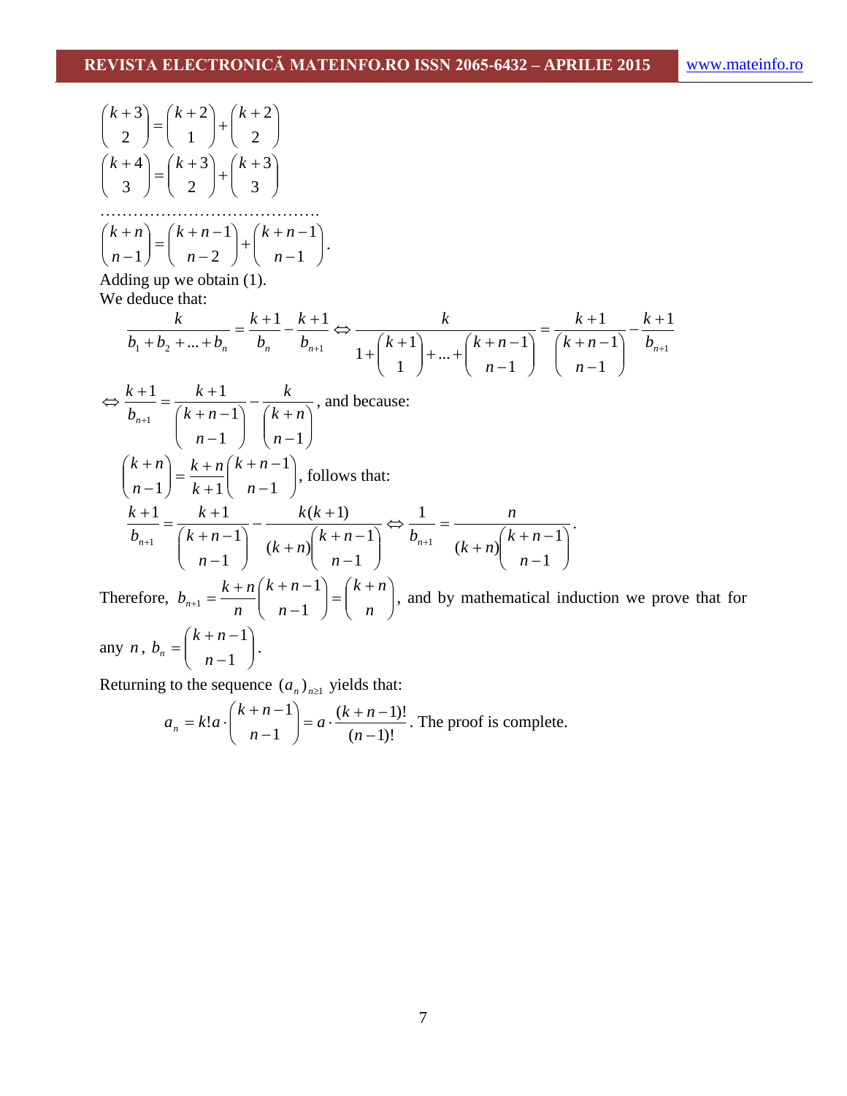$$
\binom{k+3}{2} = \binom{k+2}{1} + \binom{k+2}{2}
$$
\n
$$
\binom{k+4}{3} = \binom{k+3}{2} + \binom{k+3}{3}
$$
\n
$$
\dots
$$
\n
$$
\binom{k+n}{n-1} = \binom{k+n-1}{n-2} + \binom{k+n-1}{n-1}.
$$
\nAdding up we obtain (1).  
\nWe deduce that:  
\n
$$
\frac{k}{b_1 + b_2 + \dots + b_n} = \frac{k+1}{b_n} - \frac{k+1}{b_{n+1}} \Leftrightarrow \frac{k}{1 + \binom{k+1}{1} + \dots + \binom{k+n-1}{n-1}} = \frac{k+1}{\binom{k+n-1}{n-1}} - \frac{k+1}{b_{n+1}}
$$
\n
$$
\Leftrightarrow \frac{k+1}{b_{n+1}} = \frac{k+1}{\binom{k+n-1}{n-1}} - \frac{k}{\binom{k+n}{n-1}},
$$
 and because:  
\n
$$
\binom{k+n}{n-1} = \frac{k+n}{k+1} \binom{k+n-1}{n-1},
$$
 follows that:  
\n
$$
\frac{k+1}{b_{n+1}} = \frac{k+1}{\binom{k+n-1}{n-1}} - \frac{k(k+1)}{(k+n) \binom{k+n-1}{n-1}} \Leftrightarrow \frac{1}{b_{n+1}} = \frac{n}{(k+n) \binom{k+n-1}{n-1}}.
$$
\nTherefore,  $b_{n+1} = \frac{k+n}{n} \binom{k+n-1}{n-1} = \binom{k+n}{n}$ , and by mathematical induction we prove that for any *n*,  $b_n = \binom{k+n-1}{n-1}$ .

Returning to the sequence  $(a_n)_{n\geq 1}$  yields that:

$$
a_n = k! a \cdot \binom{k+n-1}{n-1} = a \cdot \frac{(k+n-1)!}{(n-1)!}
$$
. The proof is complete.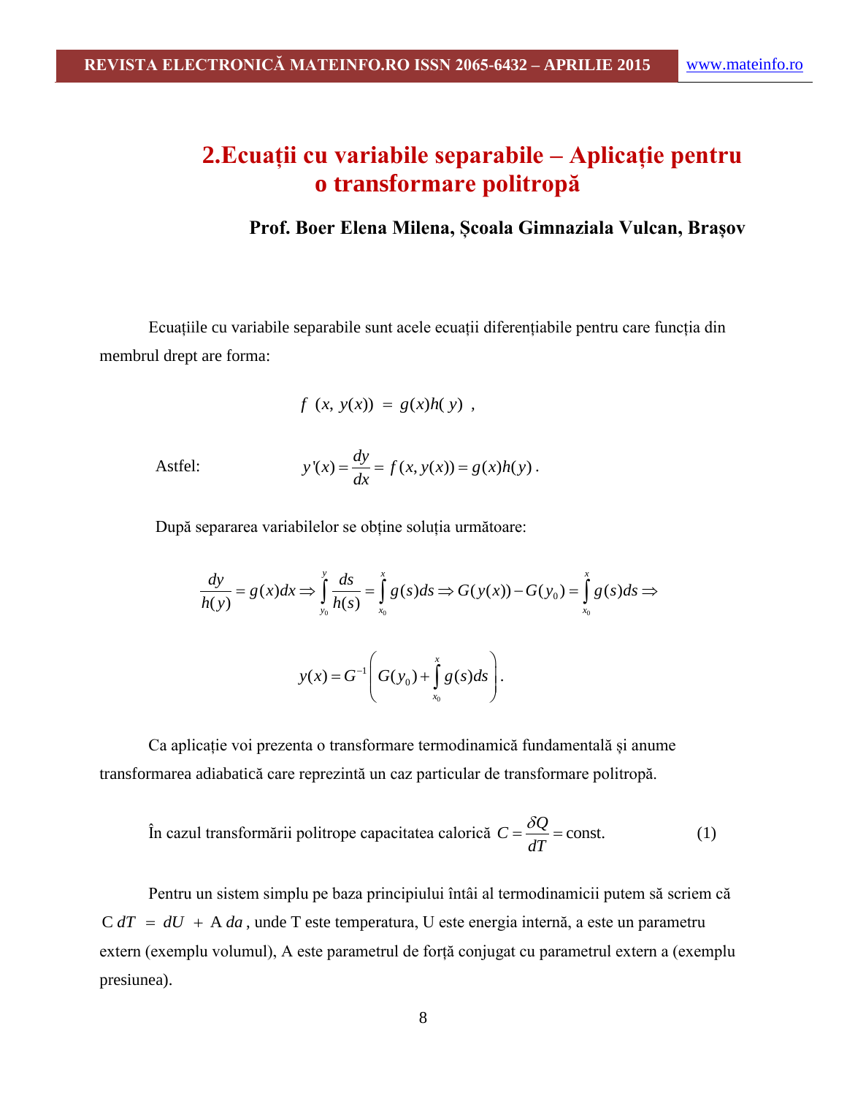# **2.Ecuații cu variabile separabile – Aplicație pentru o transformare politropă**

**Prof. Boer Elena Milena, Școala Gimnaziala Vulcan, Brașov**

Ecuațiile cu variabile separabile sunt acele ecuații diferențiabile pentru care funcția din membrul drept are forma:

$$
f(x, y(x)) = g(x)h(y)
$$
,

Astfel:

$$
y'(x) = \frac{dy}{dx} = f(x, y(x)) = g(x)h(y).
$$

După separarea variabilelor se obține soluția următoare:

separarea variablelor se obține soluția următoare:  
\n
$$
\frac{dy}{h(y)} = g(x)dx \Rightarrow \int_{y_0}^{y} \frac{ds}{h(s)} = \int_{x_0}^{x} g(s)ds \Rightarrow G(y(x)) - G(y_0) = \int_{x_0}^{x} g(s)ds \Rightarrow
$$
\n
$$
y(x) = G^{-1}\left(G(y_0) + \int_{x_0}^{x} g(s)ds\right).
$$

Ca aplicație voi prezenta o transformare termodinamică fundamentală și anume transformarea adiabatică care reprezintă un caz particular de transformare politropă.

În cazul transformării politrope capacitatea calorică 
$$
C = \frac{\delta Q}{dT} = \text{const.}
$$
 (1)

Pentru un sistem simplu pe baza principiului întâi al termodinamicii putem să scriem că  $C dT = dU + A da$ , unde T este temperatura, U este energia internă, a este un parametru extern (exemplu volumul), A este parametrul de forță conjugat cu parametrul extern a (exemplu presiunea).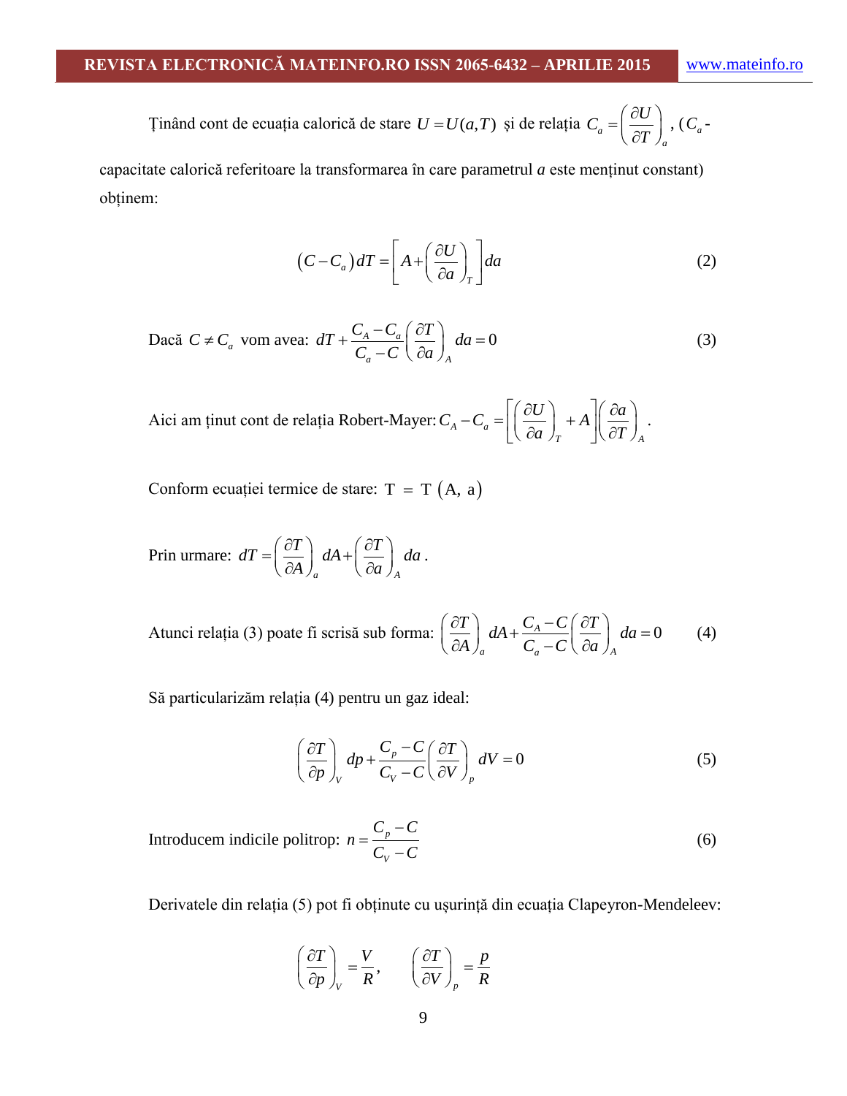Tinând cont de ecuația calorică de stare 
$$
U = U(a,T)
$$
 și de relația  $C_a = \left(\frac{\partial U}{\partial T}\right)_a$ ,  $(C_a -$ 

capacitate calorică referitoare la transformarea în care parametrul *a* este menținut constant) obținem:

$$
(C - C_a) dT = \left[ A + \left( \frac{\partial U}{\partial a} \right)_T \right] da \tag{2}
$$

Dacă 
$$
C \neq C_a
$$
 vom avea:  $dT + \frac{C_A - C_a}{C_a - C} \left(\frac{\partial T}{\partial a}\right)_A da = 0$  (3)

Aici am ținut cont de relația Robert-Mayer:  $C_A - C_a$  $\int_T$   $\int \partial T \int_A$  $C_A - C_a = \left[ \left( \frac{\partial U}{\partial a} \right) + A \right] \left( \frac{\partial a}{\partial a} \right)$  $\frac{\partial}{\partial a}$  + A  $\left| \frac{\partial a}{\partial T} \right|$  $\left[\left(\frac{\partial U}{\partial \omega}\right)_{\pm A}\right](\frac{\partial a}{\partial \omega})$  $-C_a = \left[ \left( \frac{\partial U}{\partial a} \right)_T + A \right] \left( \frac{\partial a}{\partial T} \right)_A.$ .

Conform ecuației termice de stare:  $T = T(A, a)$ 

Prin urmare: 
$$
dT = \left(\frac{\partial T}{\partial A}\right)_a dA + \left(\frac{\partial T}{\partial a}\right)_A da
$$
.

Atunci relația (3) poate fi scrisă sub forma:  $\left| \frac{\partial I}{\partial x} \right| dA + \frac{C_A - C}{a} \left| \frac{\partial I}{\partial x} \right| da = 0$  $\int_a^a C_a - C \cdot \partial a \cdot \int_A$  $\left(\frac{T}{A}\right) dA + \frac{C_A - C}{C_A - C} \left(\frac{\partial T}{\partial a}\right) da$  $\frac{I}{A}$   $\int_a^L dA + \frac{C_A - C}{C_a - C} \left( \frac{\partial I}{\partial a} \right)$  $\left(\frac{\partial T}{\partial A}\right)_a dA + \frac{C_A - C}{C_a - C} \left(\frac{\partial T}{\partial a}\right)_A da = 0$ (4)

Să particularizăm relația (4) pentru un gaz ideal:

$$
\left(\frac{\partial T}{\partial p}\right)_V dp + \frac{C_p - C}{C_V - C} \left(\frac{\partial T}{\partial V}\right)_p dV = 0
$$
\n(5)

Introducem indicile politrop: 
$$
n = \frac{C_p - C}{C_V - C}
$$
 (6)

Derivatele din relația (5) pot fi obținute cu ușurință din ecuația Clapeyron-Mendeleev:

$$
\left(\frac{\partial T}{\partial p}\right)_V = \frac{V}{R}, \qquad \left(\frac{\partial T}{\partial V}\right)_p = \frac{p}{R}
$$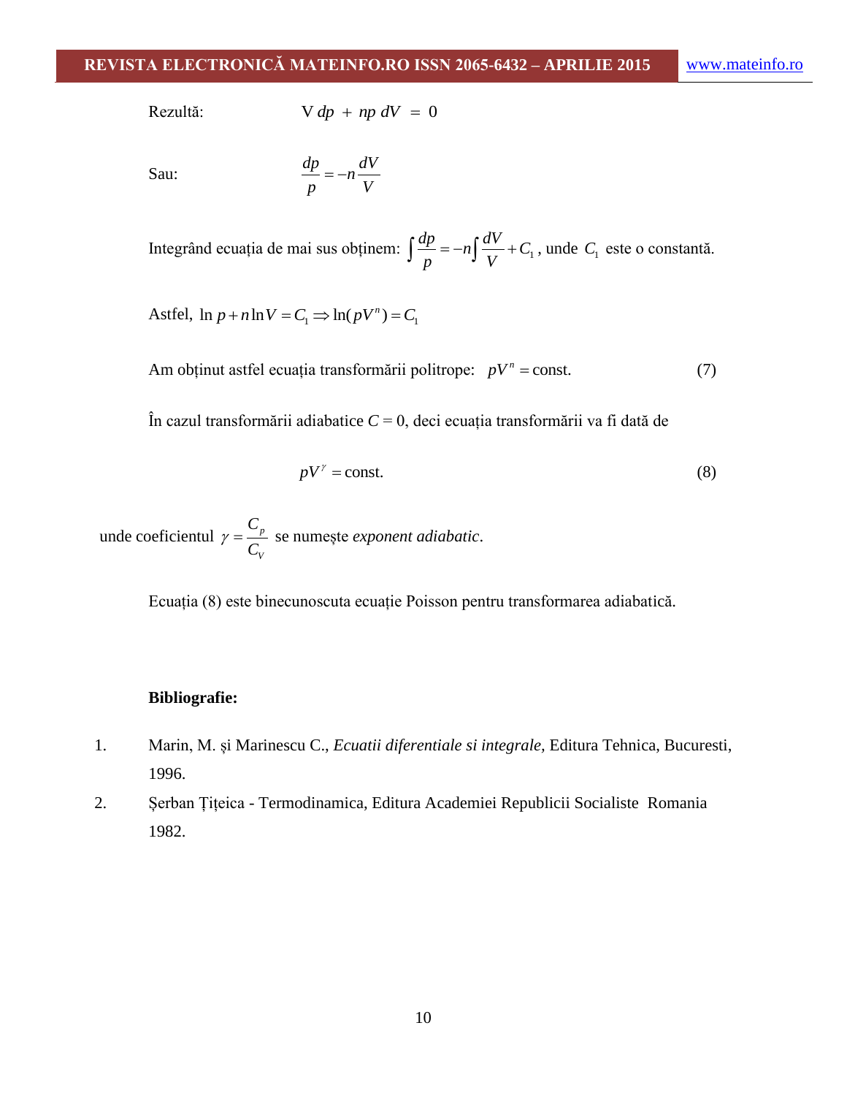Rezultă:

 $V dp + np dV = 0$ 

Sau:

$$
\frac{dp}{p} = -n\frac{dV}{V}
$$

Integrând ecuația de mai sus obținem:  $\int \frac{dp}{dt} = -n \int \frac{dV}{dt} + C_1$  $\int \frac{dp}{p} = -n \int \frac{dV}{V} + C_1$ , unde  $C_1$  este o constantă.

Astfel,  $\ln p + n \ln V = C_1 \Rightarrow \ln(pV^n) = C_1$ 

Am obținut astfel ecuația transformării politrope:  $pV^n$  = const. (7)

În cazul transformării adiabatice *C* = 0, deci ecuația transformării va fi dată de

$$
pV^{\gamma} = \text{const.} \tag{8}
$$

unde coeficientul  $\gamma = \frac{c_p}{g}$ *V C C*  $\gamma = \frac{v_p}{g}$  se numește *exponent adiabatic*.

Ecuația (8) este binecunoscuta ecuație Poisson pentru transformarea adiabatică.

#### **Bibliografie:**

- 1. Marin, M. și Marinescu C., *Ecuatii diferentiale si integrale,* Editura Tehnica, Bucuresti, 1996.
- 2. Șerban Țițeica Termodinamica, Editura Academiei Republicii Socialiste Romania 1982.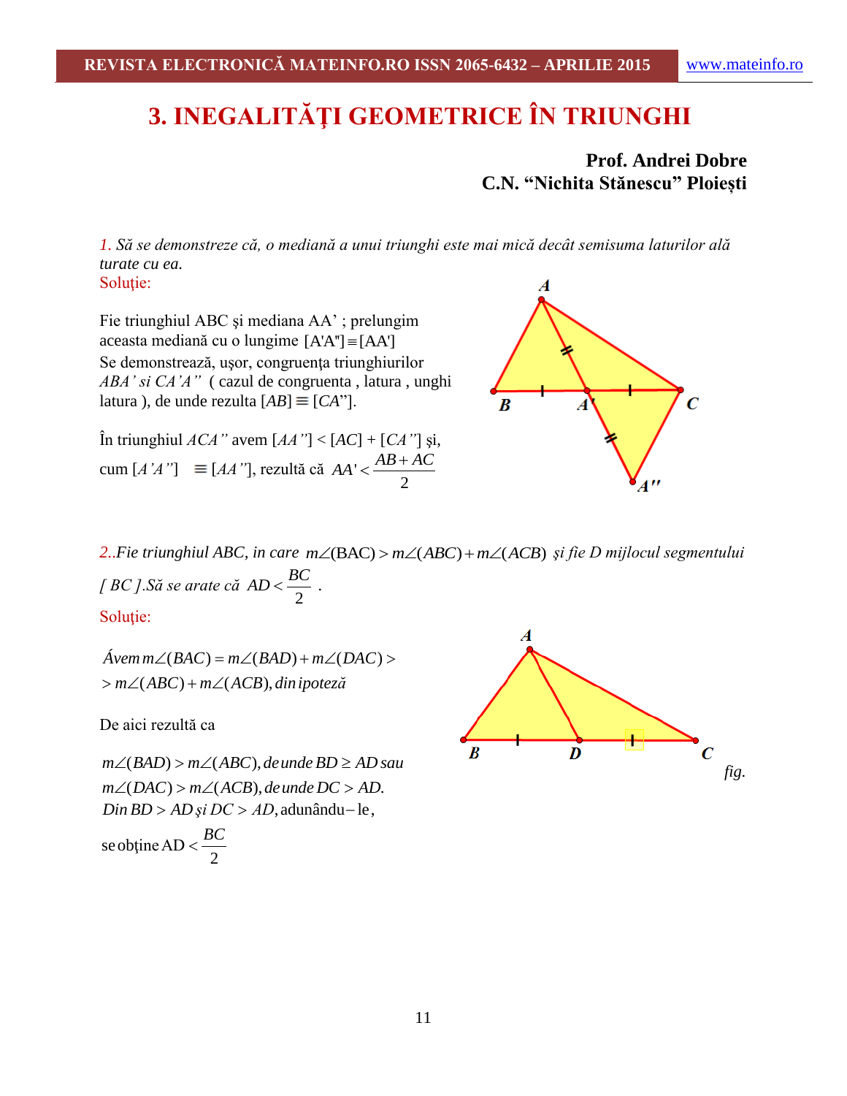# **3. INEGALITĂŢI GEOMETRICE ÎN TRIUNGHI**

**Prof. Andrei Dobre C.N. "Nichita Stănescu" Ploiești**

*1. Să se demonstreze că, o mediană a unui triunghi este mai mică decât semisuma laturilor ală turate cu ea.* Solutie:

Fie triunghiul ABC şi mediana AA' ; prelungim  $aceasta$  mediană cu o lungime  $[A'A'] \equiv [AA']$ Se demonstrează, uşor, congruenţa triunghiurilor *ABA' si CA'A"* ( cazul de congruenta , latura , unghi latura), de unde rezulta  $[AB] \equiv [CA$ <sup>"</sup>].

În triunghiul *ACA"* avem [*AA"*] < [*AC*] + [*CA"*] şi, cum  $[A'A''] \equiv [AA'']$ , rezultă că  $AA' < \frac{AB}{2}$  $AA' < \frac{AB+AC}{2}$ 



2..*Fie triunghiul ABC, in care m*∠(BAC) > *m∠*(ABC) + *m∠*(ACB) și fie D mijlocul segmentului *[ BC ].Să se arate că*  2  $AD < \frac{BC}{2}$ .

Solutie:

 $(BAC) = m\angle(BAD) + m\angle(DAC)$  $m\angle (BAC) = m\angle (BAC)$ <br>(ABC) +  $m\angle (ACB)$ , *Ávem m*  $\angle$ (*BAC*) = *m*  $\angle$ (*BAD*) + *m*  $\angle$ (*DAC vem m∠(BAC) = m∠(BAD)* + *m∠(I*<br>*m∠(ABC)* + *m∠(ACB), din ipote*ză  $\angle(BAC) = m\angle(BAD) + m\angle(DAC)$  $\angle$ Avem m $\angle$ (BAC) = m $\angle$ (<br>> m $\angle$ (ABC) + m $\angle$ (ACB

De aici rezultă ca

 $D$ e alci rezuna ca $m\angle(BAD) > m\angle(ABC)$ , de unde  $BD \ge AD$  sau m∠(BAD) > m∠(ABC), de unde BD ≥ AD sai<br>m∠(DAC) > m∠(ACB), de unde DC > AD. *m∠(DAC) > m∠(ACB), de unde DC > AD.*<br>*Din BD > AD și DC > AD,* adunându−le,

 $\frac{B}{2}$ se obține AD  $\lt \frac{B}{2}$  $\lt \frac{BC}{1}$ 

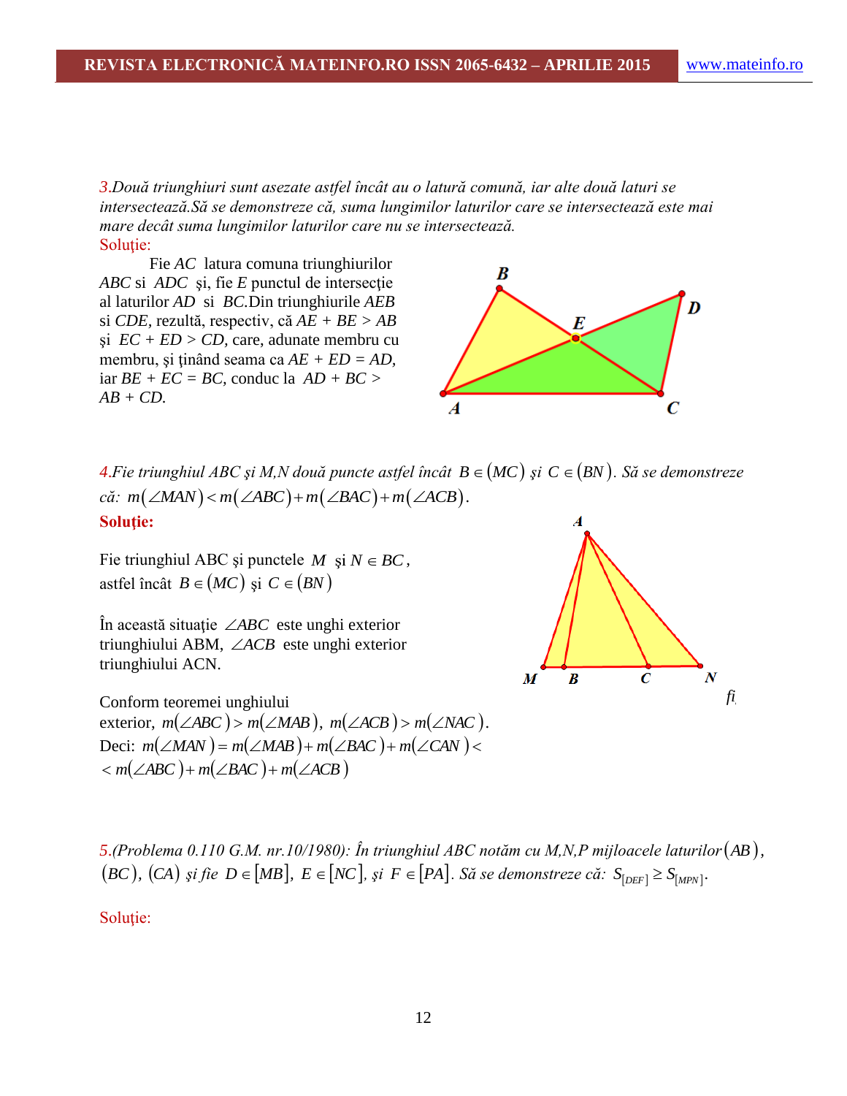*3*.*Două triunghiuri sunt asezate astfel încât au o latură comună, iar alte două laturi se intersectează.Să se demonstreze că, suma lungimilor laturilor care se intersectează este mai mare decât suma lungimilor laturilor care nu se intersectează.* Soluție:

Fie *AC* latura comuna triunghiurilor *ABC* si *ADC* si, fie *E* punctul de intersectie al laturilor *AD* si *BC.*Din triunghiurile *AEB*  si *CDE,* rezultă, respectiv, că *AE + BE > AB*  şi *EC + ED > CD,* care, adunate membru cu membru, şi ţinând seama ca *AE + ED = AD,*  iar *BE + EC = BC,* conduc la *AD + BC > AB + CD.*



 $4.$ Fie triunghiul ABC și M,N două puncte astfel încât  $B \in (MC)$  și  $C \in (BN)$ . Să se demonstreze că:  $m(\angle MAN)$  <  $m(\angle ABC)$  +  $m(\angle BAC)$  +  $m(\angle ACB)$ . *că:*  $m(\angle MAN) < m(\angle ABC) + m(\angle BAC) + m(\angle ACB)$ . **Soluţie:**

Fie triunghiul ABC și punctele  $M$  și  $N \in BC$ , astfel încât  $B \in (MC)$  și  $C \in (BN)$ 

În această situaţie *ABC* este unghi exterior triunghiului ABM, *ACB* este unghi exterior triunghiului ACN.

Conform teoremei unghiului  $m(\angle ABC) > m(\angle MAB), m(\angle ACB) > m(\angle NAC).$  $Deci: m(\angle MAN) = m(\angle MAB) + m(\angle BAC) + m(\angle CAN)$  $m(\angle ABC) + m(\angle BAC) + m(\angle ACB)$ 



*5*.*(Problema 0.110 G.M. nr.10/1980): În triunghiul ABC notăm cu M,N,P mijloacele laturilor AB ,*   $B(E)$ ,  $(CA)$  *şi fie*  $D \in [MB]$ ,  $E \in [NC]$ , *şi*  $F \in [PA]$ . Să se demonstreze că:  $S_{[DEF]} \geq S_{[MPN]}$ .

Soluţie: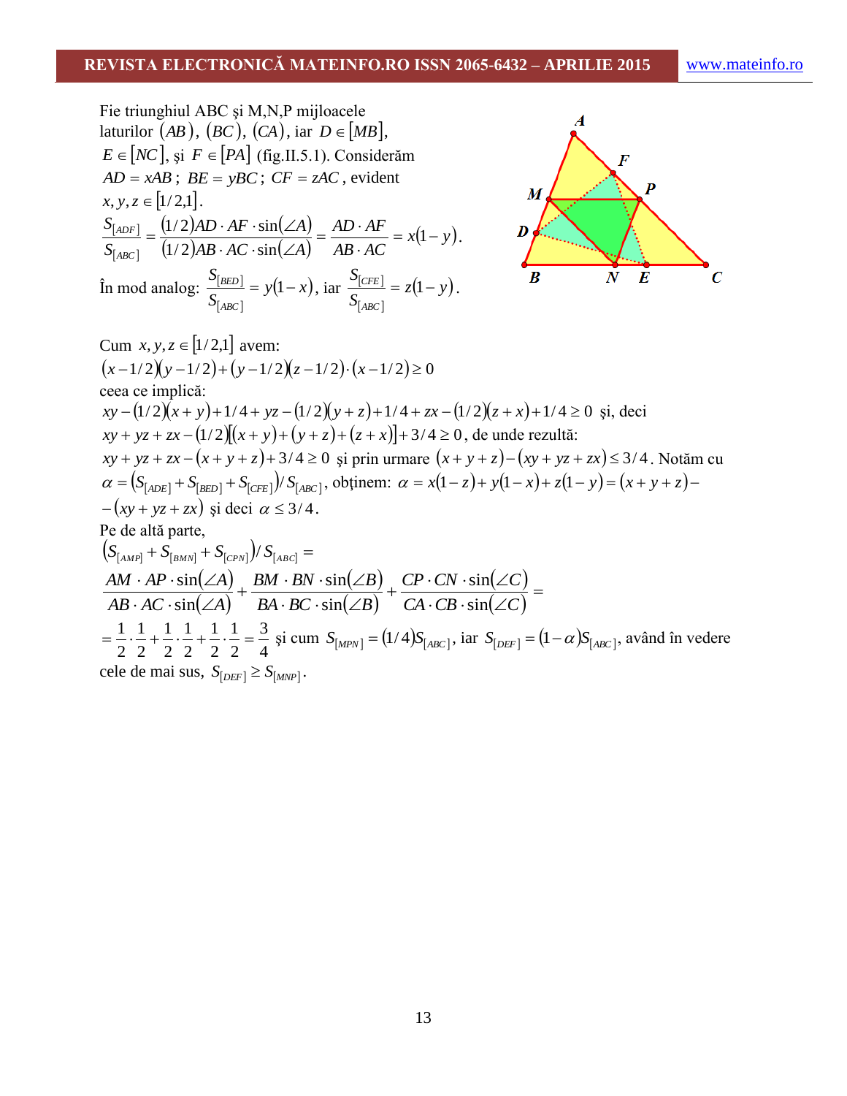Fie triunghiul ABC şi M,N,P mijloacele laturilor *AB* , *BC*, *CA* , iar *D MB*, *E NC* , şi *F PA* (fig.II.5.1). Considerăm *AD xAB* ; *BE yBC* ; *CF zAC* , evident *x*, *y*,*z* 1/ 2,1. *x y AB AC AD AF AB AC A AD AF A S S ABC ADF* 1 1/ 2 sin 1/ 2 sin . În mod analog: *y x S S ABC BED* 1 , iar *z y S S ABC CFE* 1 . Cum *x*, *y*,*z* 1/ 2,1 avem: *x* 1/ 2*y* 1/ 2 *y* 1/ 2*z* 1/ 2*x* 1/ 2 0 ceea ce implică:

 $xy - (1/2)(x + y) + 1/4 + yz - (1/2)(y + z) + 1/4 + zx - (1/2)(z + x) + 1/4 \ge 0$  și, deci  $xy + yz + zx - (1/2)(x + y) + (y + z) + (z + x)| + 3/4 \ge 0$ , de unde rezultă:  $xy + yz + zx - (x + y + z) + 3/4 \ge 0$  și prin urmare  $(x + y + z) - (xy + yz + zx) \le 3/4$ . Notăm cu  $\alpha = (S_{[ADE]} + S_{[BED]} + S_{[CFE]}) / S_{[ABC]}$ , obținem:  $\alpha = x(1-z) + y(1-x) + z(1-y) = (x + y + z) - y(1-z)$  $-(xy + yz + zx)$  și deci  $\alpha \leq 3/4$ . Pe de altă parte,  $\left(S_{[AMP]} + S_{[BMN]} + S_{[CPN]}\right)/S_{[ABC]} =$  $(\angle A)$  $(\angle A)$  $(\angle B)$  $(\angle B)$  $(\angle C)$  $(\angle C)$  $=$  $-CB \cdot \sin(\angle$  $\cdot$  CN  $\cdot$  sin( $\angle$  $\ddot{}$  $\cdot BC \cdot \sin(\angle$  $-BN \cdot \sin(\angle$  $\ddot{}$  $\cdot$  AC  $\cdot$  sin( $\angle$  $\cdot AP \cdot \sin(\angle$  $CA \cdot CB \cdot \sin(\angle C)$  $CP \cdot CN \cdot \sin(\angle C)$  $BA \cdot BC \cdot \sin(\angle B)$ *BM*  $\cdot$  *BN*  $\cdot$  sin( $\angle B$  $AB \cdot AC \cdot \sin(\angle A)$  $AM \cdot AP \cdot \sin(\angle A)$ sin sin sin sin sin sin 4 3 2 1 2 1 2 1 2 1 2 1 2  $=$  $\frac{1}{2}$ ,  $\frac{1}{2}$ ,  $\frac{1}{2}$ ,  $\frac{1}{2}$ ,  $\frac{1}{2}$ ,  $\frac{3}{2}$   $=$   $\frac{3}{4}$  și cum  $S_{[MPN]}$  = (1/4) $S_{[ABC]}$ , iar  $S_{[DEF]}$  = (1 -  $\alpha$ ) $S_{[ABC]}$ , având în vedere cele de mai sus,  $S_{[DEF]} \geq S_{[MNP]}$ .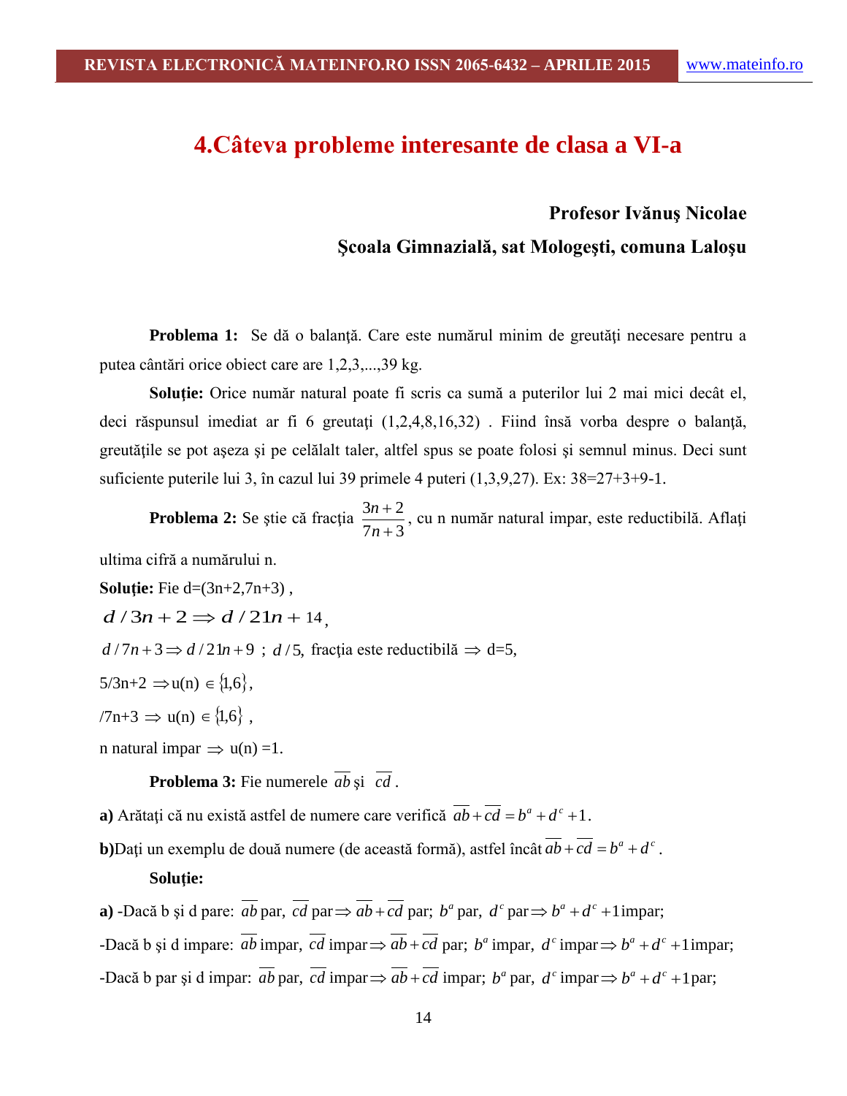## **4.Câteva probleme interesante de clasa a VI-a**

#### **Profesor Ivănuş Nicolae**

#### **Şcoala Gimnazială, sat Mologeşti, comuna Laloşu**

**Problema 1:** Se dă o balanță. Care este numărul minim de greutăți necesare pentru a putea cântări orice obiect care are 1,2,3,...,39 kg.

**Soluţie:** Orice număr natural poate fi scris ca sumă a puterilor lui 2 mai mici decât el, deci răspunsul imediat ar fi 6 greutați (1,2,4,8,16,32). Fiind însă vorba despre o balanță, greutățile se pot aseza și pe celălalt taler, altfel spus se poate folosi și semnul minus. Deci sunt suficiente puterile lui 3, în cazul lui 39 primele 4 puteri (1,3,9,27). Ex: 38=27+3+9-1.

**Problema 2:** Se ştie că fracţia  $7n + 3$  $3n + 2$  $\ddot{}$  $\ddot{}$ *n*  $\frac{n+2}{n}$ , cu n număr natural impar, este reductibilă. Aflați

ultima cifră a numărului n.

**Solutie:** Fie d=(3n+2,7n+3),  $d/3n+2 \Rightarrow d/21n+14$  $d/7n+3 \Rightarrow d/21n+9$ ;  $d/5$ , fracția este reductibilă  $\Rightarrow d=5$ ,  $5/3n+2 \Rightarrow u(n) \in \{1,6\},\$ /7n+3  $\Rightarrow$  u(n)  $\in$  {1,6},

n natural impar  $\Rightarrow$  u(n) =1.

**Problema 3:** Fie numerele *ab* şi *cd* .

**a**) Arătați că nu există astfel de numere care verifică  $\overline{ab} + \overline{cd} = b^a + d^c + 1$ .

**b**)Dați un exemplu de două numere (de această formă), astfel încât  $\overline{ab} + \overline{cd} = b^a + d^c$ .

#### **Soluţie:**

**a**) -Dacă b și d pare:  $\overline{ab}$  par,  $\overline{cd}$  par $\Rightarrow$   $\overline{ab}$  +  $\overline{cd}$  par;  $b^a$  par,  $d^c$  par $\Rightarrow$   $b^a$  +  $d^c$  + 1 impar; -Dacă b și d impare: *ab* impar, *cd* impar $\Rightarrow$  *ab* + *cd* par; *b*<sup>*a*</sup> impar, *d*<sup>*c*</sup> impar $\Rightarrow$  *b*<sup>*a*</sup> + *d*<sup>*c*</sup> + 1 impar; -Dacă b par și d impar: *ab* par, *cd* impar  $\Rightarrow$  *ab* + *cd* impar; *b*<sup>*a*</sup> par, *d*<sup>*c*</sup> impar  $\Rightarrow$  *b*<sup>*a*</sup> + *d*<sup>*c*</sup> + 1 par;